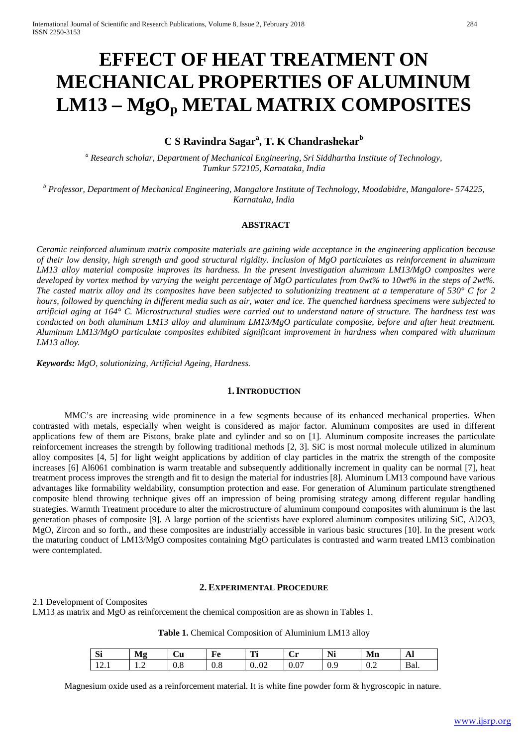# **EFFECT OF HEAT TREATMENT ON MECHANICAL PROPERTIES OF ALUMINUM LM13 – MgOp METAL MATRIX COMPOSITES**

# **C S Ravindra Sagar<sup>a</sup> , T. K Chandrashekar<sup>b</sup>**

*<sup>a</sup> Research scholar, Department of Mechanical Engineering, Sri Siddhartha Institute of Technology, Tumkur 572105, Karnataka, India*

*<sup>b</sup> Professor, Department of Mechanical Engineering, Mangalore Institute of Technology, Moodabidre, Mangalore- 574225, Karnataka, India*

#### **ABSTRACT**

*Ceramic reinforced aluminum matrix composite materials are gaining wide acceptance in the engineering application because of their low density, high strength and good structural rigidity. Inclusion of MgO particulates as reinforcement in aluminum LM13 alloy material composite improves its hardness. In the present investigation aluminum LM13/MgO composites were developed by vortex method by varying the weight percentage of MgO particulates from 0wt% to 10wt% in the steps of 2wt%. The casted matrix alloy and its composites have been subjected to solutionizing treatment at a temperature of 530° C for 2 hours, followed by quenching in different media such as air, water and ice. The quenched hardness specimens were subjected to artificial aging at 164° C. Microstructural studies were carried out to understand nature of structure. The hardness test was conducted on both aluminum LM13 alloy and aluminum LM13/MgO particulate composite, before and after heat treatment. Aluminum LM13/MgO particulate composites exhibited significant improvement in hardness when compared with aluminum LM13 alloy.*

*Keywords: MgO, solutionizing, Artificial Ageing, Hardness.*

#### **1.INTRODUCTION**

MMC's are increasing wide prominence in a few segments because of its enhanced mechanical properties. When contrasted with metals, especially when weight is considered as major factor. Aluminum composites are used in different applications few of them are Pistons, brake plate and cylinder and so on [1]. Aluminum composite increases the particulate reinforcement increases the strength by following traditional methods [2, 3]. SiC is most normal molecule utilized in aluminum alloy composites [4, 5] for light weight applications by addition of clay particles in the matrix the strength of the composite increases [6] Al6061 combination is warm treatable and subsequently additionally increment in quality can be normal [7], heat treatment process improves the strength and fit to design the material for industries [8]. Aluminum LM13 compound have various advantages like formability weldability, consumption protection and ease. For generation of Aluminum particulate strengthened composite blend throwing technique gives off an impression of being promising strategy among different regular handling strategies. Warmth Treatment procedure to alter the microstructure of aluminum compound composites with aluminum is the last generation phases of composite [9]. A large portion of the scientists have explored aluminum composites utilizing SiC, Al2O3, MgO, Zircon and so forth., and these composites are industrially accessible in various basic structures [10]. In the present work the maturing conduct of LM13/MgO composites containing MgO particulates is contrasted and warm treated LM13 combination were contemplated.

#### **2.EXPERIMENTAL PROCEDURE**

2.1 Development of Composites

LM13 as matrix and MgO as reinforcement the chemical composition are as shown in Tables 1.

**Table 1.** Chemical Composition of Aluminium LM13 alloy

| $\sim$<br>$\mathbf{S}$       | Mg      | ∼<br>Ùи | $\mathbf{E}$<br>า€ | m.<br>. .                   | . .<br>ິ       | Ni  | Mn  | Al   |
|------------------------------|---------|---------|--------------------|-----------------------------|----------------|-----|-----|------|
| $\sim$<br>$\pm$ $\sim$ $\pm$ | $\cdot$ | v.o     | v.o                | $\Omega$<br>$\Omega$<br>002 | $\sim$<br>U.U. | U.S | 0.2 | Bal. |

Magnesium oxide used as a reinforcement material. It is white fine powder form & hygroscopic in nature.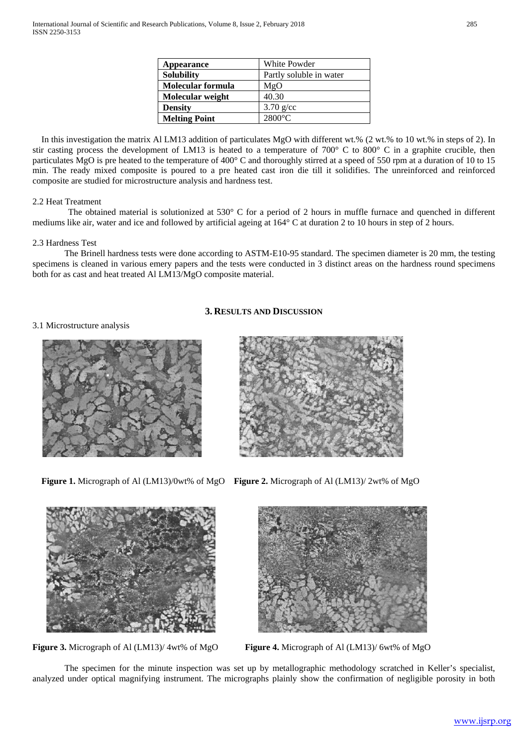| Appearance           | White Powder            |
|----------------------|-------------------------|
| <b>Solubility</b>    | Partly soluble in water |
| Molecular formula    | MgO                     |
| Molecular weight     | 40.30                   |
| <b>Density</b>       | $3.70$ g/cc             |
| <b>Melting Point</b> | $2800^{\circ}$ C        |

In this investigation the matrix Al LM13 addition of particulates MgO with different wt.% (2 wt.% to 10 wt.% in steps of 2). In stir casting process the development of LM13 is heated to a temperature of 700° C to 800° C in a graphite crucible, then particulates MgO is pre heated to the temperature of 400° C and thoroughly stirred at a speed of 550 rpm at a duration of 10 to 15 min. The ready mixed composite is poured to a pre heated cast iron die till it solidifies. The unreinforced and reinforced composite are studied for microstructure analysis and hardness test.

# 2.2 Heat Treatment

The obtained material is solutionized at 530° C for a period of 2 hours in muffle furnace and quenched in different mediums like air, water and ice and followed by artificial ageing at 164° C at duration 2 to 10 hours in step of 2 hours.

# 2.3 Hardness Test

The Brinell hardness tests were done according to ASTM-E10-95 standard. The specimen diameter is 20 mm, the testing specimens is cleaned in various emery papers and the tests were conducted in 3 distinct areas on the hardness round specimens both for as cast and heat treated Al LM13/MgO composite material.

# **3. RESULTS AND DISCUSSION**

3.1 Microstructure analysis





**Figure 1.** Micrograph of Al (LM13)/0wt% of MgO **Figure 2.** Micrograph of Al (LM13)/ 2wt% of MgO



**Figure 3.** Micrograph of Al (LM13)/ 4wt% of MgO **Figure 4.** Micrograph of Al (LM13)/ 6wt% of MgO



The specimen for the minute inspection was set up by metallographic methodology scratched in Keller's specialist, analyzed under optical magnifying instrument. The micrographs plainly show the confirmation of negligible porosity in both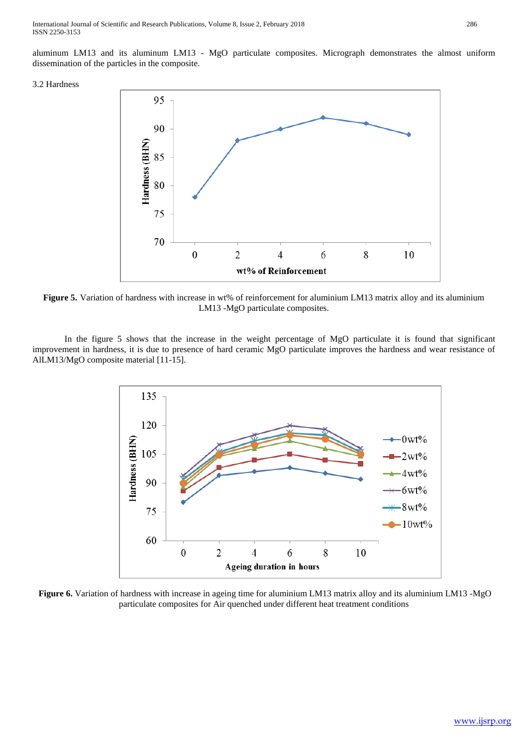International Journal of Scientific and Research Publications, Volume 8, Issue 2, February 2018 286 ISSN 2250-3153

aluminum LM13 and its aluminum LM13 - MgO particulate composites. Micrograph demonstrates the almost uniform dissemination of the particles in the composite.

# 3.2 Hardness



**Figure 5.** Variation of hardness with increase in wt% of reinforcement for aluminium LM13 matrix alloy and its aluminium LM13 -MgO particulate composites.

In the figure 5 shows that the increase in the weight percentage of MgO particulate it is found that significant improvement in hardness, it is due to presence of hard ceramic MgO particulate improves the hardness and wear resistance of AlLM13/MgO composite material [11-15].



**Figure 6.** Variation of hardness with increase in ageing time for aluminium LM13 matrix alloy and its aluminium LM13 -MgO particulate composites for Air quenched under different heat treatment conditions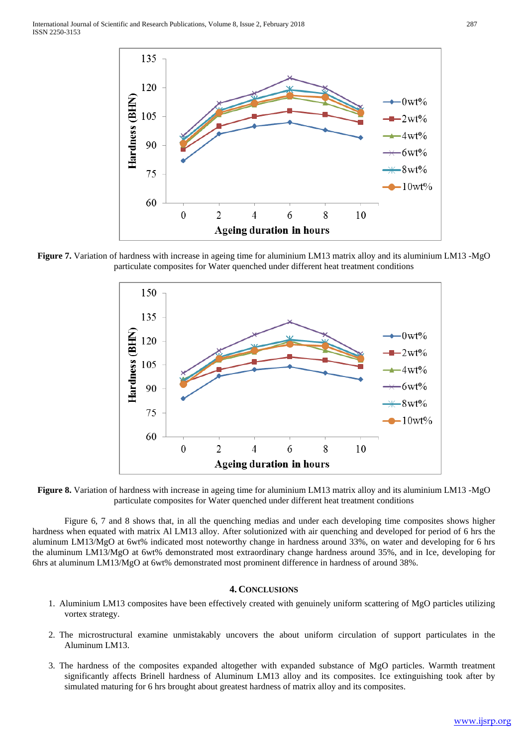

**Figure 7.** Variation of hardness with increase in ageing time for aluminium LM13 matrix alloy and its aluminium LM13 -MgO particulate composites for Water quenched under different heat treatment conditions



**Figure 8.** Variation of hardness with increase in ageing time for aluminium LM13 matrix alloy and its aluminium LM13 -MgO particulate composites for Water quenched under different heat treatment conditions

Figure 6, 7 and 8 shows that, in all the quenching medias and under each developing time composites shows higher hardness when equated with matrix Al LM13 alloy. After solutionized with air quenching and developed for period of 6 hrs the aluminum LM13/MgO at 6wt% indicated most noteworthy change in hardness around 33%, on water and developing for 6 hrs the aluminum LM13/MgO at 6wt% demonstrated most extraordinary change hardness around 35%, and in Ice, developing for 6hrs at aluminum LM13/MgO at 6wt% demonstrated most prominent difference in hardness of around 38%.

# **4. CONCLUSIONS**

- 1. Aluminium LM13 composites have been effectively created with genuinely uniform scattering of MgO particles utilizing vortex strategy.
- 2. The microstructural examine unmistakably uncovers the about uniform circulation of support particulates in the Aluminum LM13.
- 3. The hardness of the composites expanded altogether with expanded substance of MgO particles. Warmth treatment significantly affects Brinell hardness of Aluminum LM13 alloy and its composites. Ice extinguishing took after by simulated maturing for 6 hrs brought about greatest hardness of matrix alloy and its composites.